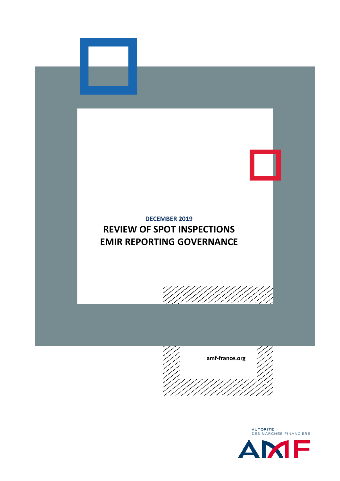



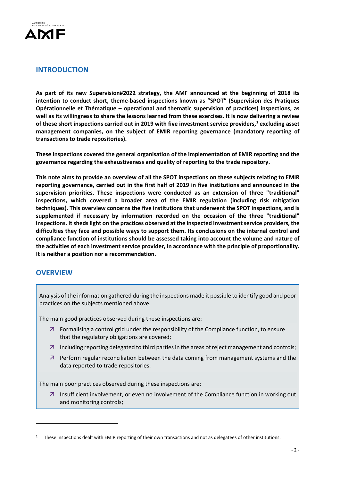

# **INTRODUCTION**

**As part of its new Supervision#2022 strategy, the AMF announced at the beginning of 2018 its intention to conduct short, theme-based inspections known as "SPOT" (Supervision des Pratiques Opérationnelle et Thématique – operational and thematic supervision of practices) inspections, as well as its willingness to share the lessons learned from these exercises. It is now delivering a review of these short inspections carried out in 2019 with five investment service providers, [1](#page-1-0) excluding asset management companies, on the subject of EMIR reporting governance (mandatory reporting of transactions to trade repositories).**

**These inspections covered the general organisation of the implementation of EMIR reporting and the governance regarding the exhaustiveness and quality of reporting to the trade repository.**

**This note aims to provide an overview of all the SPOT inspections on these subjects relating to EMIR reporting governance, carried out in the first half of 2019 in five institutions and announced in the supervision priorities. These inspections were conducted as an extension of three "traditional" inspections, which covered a broader area of the EMIR regulation (including risk mitigation techniques). This overview concerns the five institutions that underwent the SPOT inspections, and is supplemented if necessary by information recorded on the occasion of the three "traditional" inspections. It sheds light on the practices observed at the inspected investment service providers, the difficulties they face and possible ways to support them. Its conclusions on the internal control and compliance function of institutions should be assessed taking into account the volume and nature of the activities of each investment service provider, in accordance with the principle of proportionality. It is neither a position nor a recommendation.**

# **OVERVIEW**

**.** 

Analysis of the information gathered during the inspections made it possible to identify good and poor practices on the subjects mentioned above.

The main good practices observed during these inspections are:

- $\overline{z}$  Formalising a control grid under the responsibility of the Compliance function, to ensure that the regulatory obligations are covered;
- $\overline{a}$  Including reporting delegated to third parties in the areas of reject management and controls;
- $\overline{z}$  Perform regular reconciliation between the data coming from management systems and the data reported to trade repositories.

The main poor practices observed during these inspections are:

 $\overline{z}$  Insufficient involvement, or even no involvement of the Compliance function in working out and monitoring controls;

<span id="page-1-0"></span> $1$  These inspections dealt with EMIR reporting of their own transactions and not as delegatees of other institutions.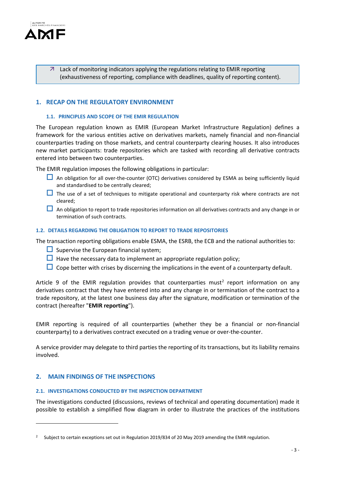

 Lack of monitoring indicators applying the regulations relating to EMIR reporting (exhaustiveness of reporting, compliance with deadlines, quality of reporting content).

# **1. RECAP ON THE REGULATORY ENVIRONMENT**

#### **1.1. PRINCIPLES AND SCOPE OF THE EMIR REGULATION**

The European regulation known as EMIR (European Market Infrastructure Regulation) defines a framework for the various entities active on derivatives markets, namely financial and non-financial counterparties trading on those markets, and central counterparty clearing houses. It also introduces new market participants: trade repositories which are tasked with recording all derivative contracts entered into between two counterparties.

The EMIR regulation imposes the following obligations in particular:

- $\Box$  An obligation for all over-the-counter (OTC) derivatives considered by ESMA as being sufficiently liquid and standardised to be centrally cleared;
- $\Box$  The use of a set of techniques to mitigate operational and counterparty risk where contracts are not cleared;
- $\Box$  An obligation to report to trade repositories information on all derivatives contracts and any change in or termination of such contracts.

### **1.2. DETAILS REGARDING THE OBLIGATION TO REPORT TO TRADE REPOSITORIES**

The transaction reporting obligations enable ESMA, the ESRB, the ECB and the national authorities to:

- $\Box$  Supervise the European financial system;
- $\Box$  Have the necessary data to implement an appropriate regulation policy;
- $\Box$  Cope better with crises by discerning the implications in the event of a counterparty default.

Article 9 of the EMIR regulation provides that counterparties must<sup>[2](#page-2-0)</sup> report information on any derivatives contract that they have entered into and any change in or termination of the contract to a trade repository, at the latest one business day after the signature, modification or termination of the contract (hereafter "**EMIR reporting**").

EMIR reporting is required of all counterparties (whether they be a financial or non-financial counterparty) to a derivatives contract executed on a trading venue or over-the-counter.

A service provider may delegate to third parties the reporting of its transactions, but its liability remains involved.

#### **2. MAIN FINDINGS OF THE INSPECTIONS**

**.** 

#### **2.1. INVESTIGATIONS CONDUCTED BY THE INSPECTION DEPARTMENT**

The investigations conducted (discussions, reviews of technical and operating documentation) made it possible to establish a simplified flow diagram in order to illustrate the practices of the institutions

<span id="page-2-0"></span><sup>&</sup>lt;sup>2</sup> Subject to certain exceptions set out in Regulation 2019/834 of 20 May 2019 amending the EMIR regulation.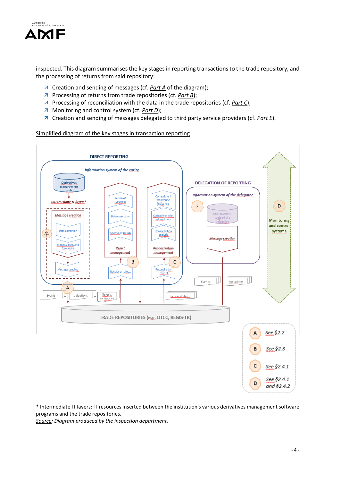

inspected. This diagram summarises the key stages in reporting transactions to the trade repository, and the processing of returns from said repository:

- Creation and sending of messages (cf. *Part A* of the diagram);
- Processing of returns from trade repositories (cf. *Part B*);
- Processing of reconciliation with the data in the trade repositories (cf. *Part C*);
- Monitoring and control system (cf. *Part D*);
- Creation and sending of messages delegated to third party service providers (cf. *Part E*).

### Simplified diagram of the key stages in transaction reporting



\* Intermediate IT layers: IT resources inserted between the institution's various derivatives management software programs and the trade repositories.

*Source: Diagram produced by the inspection department.*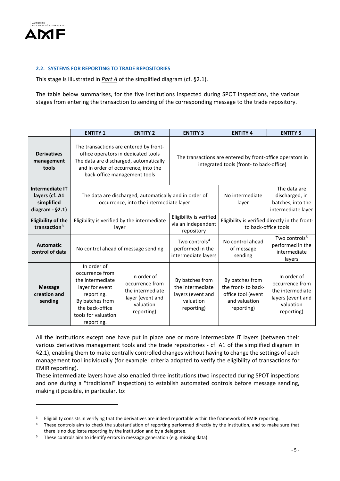

**.** 

## **2.2. SYSTEMS FOR REPORTING TO TRADE REPOSITORIES**

This stage is illustrated in *Part A* of the simplified diagram (cf. §2.1).

The table below summarises, for the five institutions inspected during SPOT inspections, the various stages from entering the transaction to sending of the corresponding message to the trade repository.

|                                                                               | <b>ENTITY 1</b>                                                                                                                                                                                                                                                     | <b>ENTITY 2</b>                                                                                   | <b>ENTITY 3</b>                                                                                       | <b>ENTITY 4</b>                                                                             | <b>ENTITY 5</b>                                                                                    |
|-------------------------------------------------------------------------------|---------------------------------------------------------------------------------------------------------------------------------------------------------------------------------------------------------------------------------------------------------------------|---------------------------------------------------------------------------------------------------|-------------------------------------------------------------------------------------------------------|---------------------------------------------------------------------------------------------|----------------------------------------------------------------------------------------------------|
| <b>Derivatives</b><br>management<br>tools                                     | The transactions are entered by front-<br>office operators in dedicated tools<br>The data are discharged, automatically<br>and in order of occurrence, into the<br>back-office management tools                                                                     |                                                                                                   | The transactions are entered by front-office operators in<br>integrated tools (front- to back-office) |                                                                                             |                                                                                                    |
| <b>Intermediate IT</b><br>layers (cf. A1<br>simplified<br>diagram - $\S$ 2.1) |                                                                                                                                                                                                                                                                     | The data are discharged, automatically and in order of<br>occurrence, into the intermediate layer |                                                                                                       | No intermediate<br>layer                                                                    | The data are<br>discharged, in<br>batches, into the<br>intermediate layer                          |
| <b>Eligibility of the</b><br>transaction $3$                                  | Eligibility is verified by the intermediate<br>layer                                                                                                                                                                                                                |                                                                                                   | Eligibility is verified<br>via an independent<br>repository                                           | Eligibility is verified directly in the front-<br>to back-office tools                      |                                                                                                    |
| <b>Automatic</b><br>control of data                                           | No control ahead of message sending                                                                                                                                                                                                                                 |                                                                                                   | Two controls <sup>4</sup><br>performed in the<br>intermediate layers                                  | No control ahead<br>of message<br>sending                                                   | Two controls <sup>5</sup><br>performed in the<br>intermediate<br>layers                            |
| <b>Message</b><br>creation and<br>sending                                     | In order of<br>occurrence from<br>In order of<br>the intermediate<br>occurrence from<br>layer for event<br>the intermediate<br>reporting.<br>layer (event and<br>By batches from<br>valuation<br>the back-office<br>reporting)<br>tools for valuation<br>reporting. |                                                                                                   | By batches from<br>the intermediate<br>layers (event and<br>valuation<br>reporting)                   | By batches from<br>the front- to back-<br>office tool (event<br>and valuation<br>reporting) | In order of<br>occurrence from<br>the intermediate<br>layers (event and<br>valuation<br>reporting) |

All the institutions except one have put in place one or more intermediate IT layers (between their various derivatives management tools and the trade repositories - cf. A1 of the simplified diagram in §2.1), enabling them to make centrally controlled changes without having to change the settings of each management tool individually (for example: criteria adopted to verify the eligibility of transactions for EMIR reporting).

These intermediate layers have also enabled three institutions (two inspected during SPOT inspections and one during a "traditional" inspection) to establish automated controls before message sending, making it possible, in particular, to:

<span id="page-4-0"></span><sup>&</sup>lt;sup>3</sup> Eligibility consists in verifying that the derivatives are indeed reportable within the framework of EMIR reporting.

<span id="page-4-1"></span><sup>&</sup>lt;sup>4</sup> These controls aim to check the substantiation of reporting performed directly by the institution, and to make sure that there is no duplicate reporting by the institution and by a delegatee.

<span id="page-4-2"></span><sup>&</sup>lt;sup>5</sup> These controls aim to identify errors in message generation (e.g. missing data).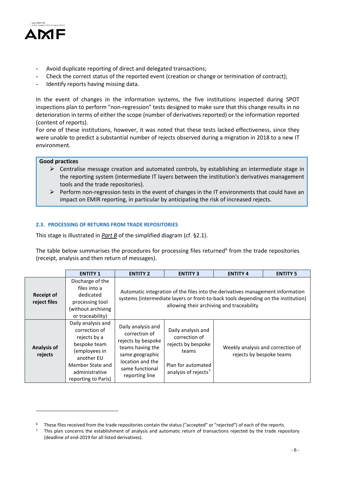

- **-** Avoid duplicate reporting of direct and delegated transactions;
- **-** Check the correct status of the reported event (creation or change or termination of contract);
- **-** Identify reports having missing data.

In the event of changes in the information systems, the five institutions inspected during SPOT inspections plan to perform "non-regression" tests designed to make sure that this change results in no deterioration in terms of either the scope (number of derivatives reported) or the information reported (content of reports).

For one of these institutions, however, it was noted that these tests lacked effectiveness, since they were unable to predict a substantial number of rejects observed during a migration in 2018 to a new IT environment.

### **Good practices**

<u>.</u>

- $\triangleright$  Centralise message creation and automated controls, by establishing an intermediate stage in the reporting system (intermediate IT layers between the institution's derivatives management tools and the trade repositories).
- $\triangleright$  Perform non-regression tests in the event of changes in the IT environments that could have an impact on EMIR reporting, in particular by anticipating the risk of increased rejects.

### **2.3. PROCESSING OF RETURNS FROM TRADE REPOSITORIES**

This stage is illustrated in *Part B* of the simplified diagram (cf. §2.1).

The table below summarises the procedures for processing files returned $6$  from the trade repositories (receipt, analysis and then return of messages).

|                                   | <b>ENTITY 1</b>                                                                                                                                                 | <b>ENTITY 2</b>                                                                                                                                                                                                  | <b>ENTITY 3</b>                                                                                                              | <b>ENTITY 4</b>                                               | <b>ENTITY 5</b> |  |
|-----------------------------------|-----------------------------------------------------------------------------------------------------------------------------------------------------------------|------------------------------------------------------------------------------------------------------------------------------------------------------------------------------------------------------------------|------------------------------------------------------------------------------------------------------------------------------|---------------------------------------------------------------|-----------------|--|
| <b>Receipt of</b><br>reject files | Discharge of the<br>files into a<br>dedicated<br>processing tool<br>(without archiving<br>or traceability)                                                      | Automatic integration of the files into the derivatives management information<br>systems (intermediate layers or front-to-back tools depending on the institution)<br>allowing their archiving and traceability |                                                                                                                              |                                                               |                 |  |
| <b>Analysis of</b><br>rejects     | Daily analysis and<br>correction of<br>rejects by a<br>bespoke team<br>(employees in<br>another EU<br>Member State and<br>administrative<br>reporting to Paris) | Daily analysis and<br>correction of<br>rejects by bespoke<br>teams having the<br>same geographic<br>location and the<br>same functional<br>reporting line                                                        | Daily analysis and<br>correction of<br>rejects by bespoke<br>teams<br>Plan for automated<br>analysis of rejects <sup>7</sup> | Weekly analysis and correction of<br>rejects by bespoke teams |                 |  |

<span id="page-5-0"></span><sup>6</sup> These files received from the trade repositories contain the status ("accepted" or "rejected") of each of the reports.

<span id="page-5-1"></span> $<sup>7</sup>$  This plan concerns the establishment of analysis and automatic return of transactions rejected by the trade repository</sup> (deadline of end-2019 for all listed derivatives).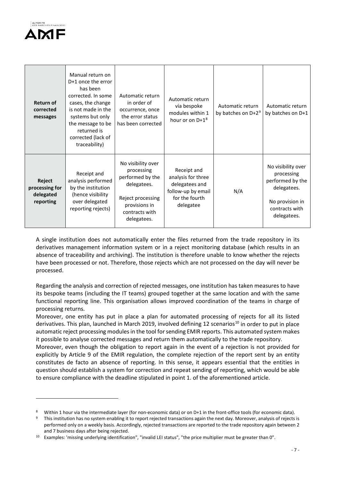

 $\overline{\phantom{a}}$ 

| <b>Return of</b><br>corrected<br>messages          | Manual return on<br>D+1 once the error<br>has been<br>corrected. In some<br>cases, the change<br>is not made in the<br>systems but only<br>the message to be<br>returned is<br>corrected (lack of<br>traceability) | Automatic return<br>in order of<br>occurrence, once<br>the error status<br>has been corrected                                              | Automatic return<br>via bespoke<br>modules within 1<br>hour or on D+1 <sup>8</sup>                       | Automatic return<br>by batches on $D+2^9$ | Automatic return<br>by batches on D+1                                                                                   |
|----------------------------------------------------|--------------------------------------------------------------------------------------------------------------------------------------------------------------------------------------------------------------------|--------------------------------------------------------------------------------------------------------------------------------------------|----------------------------------------------------------------------------------------------------------|-------------------------------------------|-------------------------------------------------------------------------------------------------------------------------|
| Reject<br>processing for<br>delegated<br>reporting | Receipt and<br>analysis performed<br>by the institution<br>(hence visibility<br>over delegated<br>reporting rejects)                                                                                               | No visibility over<br>processing<br>performed by the<br>delegatees.<br>Reject processing<br>provisions in<br>contracts with<br>delegatees. | Receipt and<br>analysis for three<br>delegatees and<br>follow-up by email<br>for the fourth<br>delegatee | N/A                                       | No visibility over<br>processing<br>performed by the<br>delegatees.<br>No provision in<br>contracts with<br>delegatees. |

A single institution does not automatically enter the files returned from the trade repository in its derivatives management information system or in a reject monitoring database (which results in an absence of traceability and archiving). The institution is therefore unable to know whether the rejects have been processed or not. Therefore, those rejects which are not processed on the day will never be processed.

Regarding the analysis and correction of rejected messages, one institution has taken measures to have its bespoke teams (including the IT teams) grouped together at the same location and with the same functional reporting line. This organisation allows improved coordination of the teams in charge of processing returns.

Moreover, one entity has put in place a plan for automated processing of rejects for all its listed derivatives. This plan, launched in March 2019, involved defining 12 scenarios<sup>[10](#page-6-2)</sup> in order to put in place automatic reject processing modules in the tool for sending EMIR reports. This automated system makes it possible to analyse corrected messages and return them automatically to the trade repository.

Moreover, even though the obligation to report again in the event of a rejection is not provided for explicitly by Article 9 of the EMIR regulation, the complete rejection of the report sent by an entity constitutes de facto an absence of reporting. In this sense, it appears essential that the entities in question should establish a system for correction and repeat sending of reporting, which would be able to ensure compliance with the deadline stipulated in point 1. of the aforementioned article.

<span id="page-6-0"></span><sup>8</sup> Within 1 hour via the intermediate layer (for non-economic data) or on D+1 in the front-office tools (for economic data).

<span id="page-6-1"></span><sup>&</sup>lt;sup>9</sup> This institution has no system enabling it to report rejected transactions again the next day. Moreover, analysis of rejects is performed only on a weekly basis. Accordingly, rejected transactions are reported to the trade repository again between 2 and 7 business days after being rejected.

<span id="page-6-2"></span><sup>10</sup> Examples: 'missing underlying identification", "invalid LEI status", "the price multiplier must be greater than 0".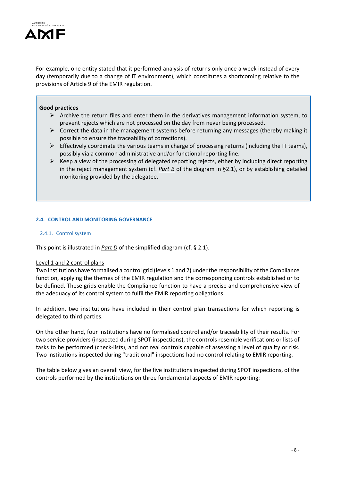

For example, one entity stated that it performed analysis of returns only once a week instead of every day (temporarily due to a change of IT environment), which constitutes a shortcoming relative to the provisions of Article 9 of the EMIR regulation.

#### **Good practices**

- $\triangleright$  Archive the return files and enter them in the derivatives management information system, to prevent rejects which are not processed on the day from never being processed.
- $\triangleright$  Correct the data in the management systems before returning any messages (thereby making it possible to ensure the traceability of corrections).
- $\triangleright$  Effectively coordinate the various teams in charge of processing returns (including the IT teams), possibly via a common administrative and/or functional reporting line.
- $\triangleright$  Keep a view of the processing of delegated reporting rejects, either by including direct reporting in the reject management system (cf. *Part B* of the diagram in §2.1), or by establishing detailed monitoring provided by the delegatee.

## **2.4. CONTROL AND MONITORING GOVERNANCE**

### 2.4.1. Control system

This point is illustrated in *Part D* of the simplified diagram (cf. § 2.1).

#### Level 1 and 2 control plans

Two institutions have formalised a control grid (levels 1 and 2) under the responsibility of the Compliance function, applying the themes of the EMIR regulation and the corresponding controls established or to be defined. These grids enable the Compliance function to have a precise and comprehensive view of the adequacy of its control system to fulfil the EMIR reporting obligations.

In addition, two institutions have included in their control plan transactions for which reporting is delegated to third parties.

On the other hand, four institutions have no formalised control and/or traceability of their results. For two service providers (inspected during SPOT inspections), the controls resemble verifications or lists of tasks to be performed (check-lists), and not real controls capable of assessing a level of quality or risk. Two institutions inspected during "traditional" inspections had no control relating to EMIR reporting.

The table below gives an overall view, for the five institutions inspected during SPOT inspections, of the controls performed by the institutions on three fundamental aspects of EMIR reporting: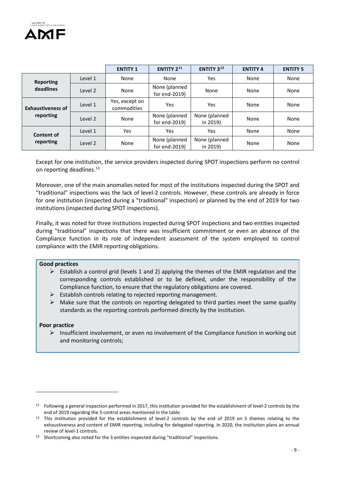

|                                       |         | <b>ENTITY 1</b>               | <b>ENTITY 2<sup>11</sup></b>   | ENTITY 3 <sup>12</sup>    | <b>ENTITY 4</b> | <b>ENTITY 5</b> |
|---------------------------------------|---------|-------------------------------|--------------------------------|---------------------------|-----------------|-----------------|
| <b>Reporting</b><br>deadlines         | Level 1 | None                          | None                           | Yes                       | None            | None            |
|                                       | Level 2 | None                          | None (planned<br>for end-2019) | None                      | None            | None            |
| <b>Exhaustiveness of</b><br>reporting | Level 1 | Yes, except on<br>commodities | Yes                            | Yes                       | None            | None            |
|                                       | Level 2 | None                          | None (planned<br>for end-2019) | None (planned<br>in 2019) | None            | None            |
| <b>Content of</b><br>reporting        | Level 1 | <b>Yes</b>                    | Yes                            | Yes                       | None            | None            |
|                                       | Level 2 | None                          | None (planned<br>for end-2019) | None (planned<br>in 2019) | None            | None            |

Except for one institution, the service providers inspected during SPOT inspections perform no control on reporting deadlines.<sup>[13](#page-8-2)</sup>

Moreover, one of the main anomalies noted for most of the institutions inspected during the SPOT and "traditional" inspections was the lack of level-2 controls. However, these controls are already in force for one institution (inspected during a "traditional" inspection) or planned by the end of 2019 for two institutions (inspected during SPOT inspections).

Finally, it was noted for three institutions inspected during SPOT inspections and two entities inspected during "traditional" inspections that there was insufficient commitment or even an absence of the Compliance function in its role of independent assessment of the system employed to control compliance with the EMIR reporting obligations.

#### **Good practices**

- $\triangleright$  Establish a control grid (levels 1 and 2) applying the themes of the EMIR regulation and the corresponding controls established or to be defined, under the responsibility of the Compliance function, to ensure that the regulatory obligations are covered.
- $\triangleright$  Establish controls relating to rejected reporting management.
- $\triangleright$  Make sure that the controls on reporting delegated to third parties meet the same quality standards as the reporting controls performed directly by the institution.

#### **Poor practice**

 $\overline{\phantom{a}}$ 

 $\triangleright$  Insufficient involvement, or even no involvement of the Compliance function in working out and monitoring controls;

<span id="page-8-0"></span><sup>11</sup> Following a general inspection performed in 2017, this institution provided for the establishment of level-2 controls by the end of 2019 regarding the 3 control areas mentioned in the table.

<span id="page-8-1"></span> $12$  This institution provided for the establishment of level-2 controls by the end of 2019 on 5 themes relating to the exhaustiveness and content of EMIR reporting, including for delegated reporting. In 2020, the institution plans an annual review of level-1 controls.

<span id="page-8-2"></span><sup>13</sup> Shortcoming also noted for the 3 entities inspected during "traditional" inspections.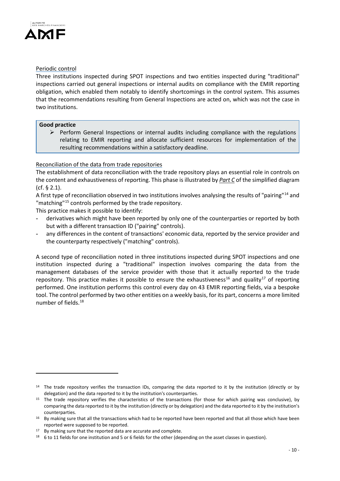

# Periodic control

Three institutions inspected during SPOT inspections and two entities inspected during "traditional" inspections carried out general inspections or internal audits on compliance with the EMIR reporting obligation, which enabled them notably to identify shortcomings in the control system. This assumes that the recommendations resulting from General Inspections are acted on, which was not the case in two institutions.

## **Good practice**

 $\overline{\phantom{a}}$ 

 $\triangleright$  Perform General Inspections or internal audits including compliance with the regulations relating to EMIR reporting and allocate sufficient resources for implementation of the resulting recommendations within a satisfactory deadline.

# Reconciliation of the data from trade repositories

The establishment of data reconciliation with the trade repository plays an essential role in controls on the content and exhaustiveness of reporting. This phase is illustrated by *Part C* of the simplified diagram (cf. § 2.1).

A first type of reconciliation observed in two institutions involves analysing the results of "pairing"[14](#page-9-0) and "matching"<sup>[15](#page-9-1)</sup> controls performed by the trade repository.

This practice makes it possible to identify:

- **-** derivatives which might have been reported by only one of the counterparties or reported by both but with a different transaction ID ("pairing" controls).
- **-** any differences in the content of transactions' economic data, reported by the service provider and the counterparty respectively ("matching" controls).

A second type of reconciliation noted in three institutions inspected during SPOT inspections and one institution inspected during a "traditional" inspection involves comparing the data from the management databases of the service provider with those that it actually reported to the trade repository. This practice makes it possible to ensure the exhaustiveness<sup>[16](#page-9-2)</sup> and quality<sup>[17](#page-9-3)</sup> of reporting performed. One institution performs this control every day on 43 EMIR reporting fields, via a bespoke tool. The control performed by two other entities on a weekly basis, for its part, concerns a more limited number of fields. [18](#page-9-4)

<span id="page-9-0"></span><sup>&</sup>lt;sup>14</sup> The trade repository verifies the transaction IDs, comparing the data reported to it by the institution (directly or by delegation) and the data reported to it by the institution's counterparties.

<span id="page-9-1"></span><sup>&</sup>lt;sup>15</sup> The trade repository verifies the characteristics of the transactions (for those for which pairing was conclusive), by comparing the data reported to it by the institution (directly or by delegation) and the data reported to it by the institution's counterparties.

<span id="page-9-2"></span><sup>16</sup> By making sure that all the transactions which had to be reported have been reported and that all those which have been reported were supposed to be reported.

<span id="page-9-3"></span> $17$  By making sure that the reported data are accurate and complete.

<span id="page-9-4"></span><sup>18</sup> 6 to 11 fields for one institution and 5 or 6 fields for the other (depending on the asset classes in question).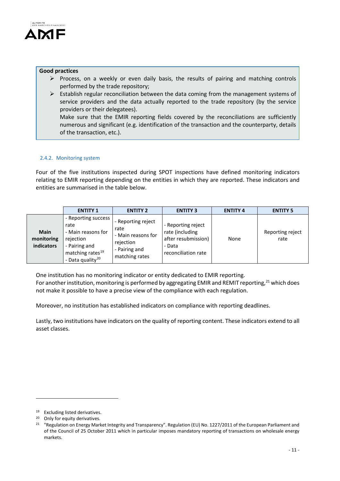

#### **Good practices**

- $\triangleright$  Process, on a weekly or even daily basis, the results of pairing and matching controls performed by the trade repository;
- $\triangleright$  Establish regular reconciliation between the data coming from the management systems of service providers and the data actually reported to the trade repository (by the service providers or their delegatees). Make sure that the EMIR reporting fields covered by the reconciliations are sufficiently numerous and significant (e.g. identification of the transaction and the counterparty, details of the transaction, etc.).

### 2.4.2. Monitoring system

Four of the five institutions inspected during SPOT inspections have defined monitoring indicators relating to EMIR reporting depending on the entities in which they are reported. These indicators and entities are summarised in the table below.

|                                         | <b>ENTITY 1</b>                                                                                                                                 | <b>ENTITY 2</b>                                                                                  | <b>ENTITY 3</b>                                                                               | <b>ENTITY 4</b> | <b>ENTITY 5</b>          |
|-----------------------------------------|-------------------------------------------------------------------------------------------------------------------------------------------------|--------------------------------------------------------------------------------------------------|-----------------------------------------------------------------------------------------------|-----------------|--------------------------|
| <b>Main</b><br>monitoring<br>indicators | - Reporting success<br>rate<br>- Main reasons for<br>rejection<br>- Pairing and<br>matching rates <sup>19</sup><br>- Data quality <sup>20</sup> | - Reporting reject<br>rate<br>- Main reasons for<br>rejection<br>- Pairing and<br>matching rates | - Reporting reject<br>rate (including<br>after resubmission)<br>- Data<br>reconciliation rate | None            | Reporting reject<br>rate |

One institution has no monitoring indicator or entity dedicated to EMIR reporting. For another institution, monitoring is performed by aggregating EMIR and REMIT reporting,  $21$  which does not make it possible to have a precise view of the compliance with each regulation.

Moreover, no institution has established indicators on compliance with reporting deadlines.

Lastly, two institutions have indicators on the quality of reporting content. These indicators extend to all asset classes.

 $\overline{\phantom{a}}$ 

<span id="page-10-0"></span><sup>19</sup> Excluding listed derivatives.

<span id="page-10-1"></span><sup>20</sup> Only for equity derivatives.

<span id="page-10-2"></span><sup>&</sup>lt;sup>21</sup> "Regulation on Energy Market Integrity and Transparency". Regulation (EU) No. 1227/2011 of the European Parliament and of the Council of 25 October 2011 which in particular imposes mandatory reporting of transactions on wholesale energy markets.